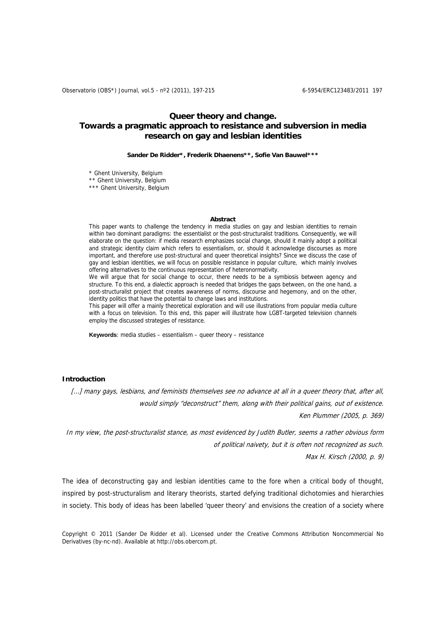# **Queer theory and change. Towards a pragmatic approach to resistance and subversion in media research on gay and lesbian identities**

**Sander De Ridder\*, Frederik Dhaenens\*\*, Sofie Van Bauwel\*\*\*** 

\* Ghent University, Belgium

\*\* Ghent University, Belgium

\*\*\* Ghent University, Belgium

#### **Abstract**

This paper wants to challenge the tendency in media studies on gay and lesbian identities to remain within two dominant paradigms: the essentialist or the post-structuralist traditions. Consequently, we will elaborate on the question: if media research emphasizes social change, should it mainly adopt a political and strategic identity claim which refers to essentialism, or, should it acknowledge discourses as more important, and therefore use post-structural and queer theoretical insights? Since we discuss the case of gay and lesbian identities, we will focus on possible resistance in popular culture, which mainly involves offering alternatives to the continuous representation of heteronormativity.

We will argue that for social change to occur, there needs to be a symbiosis between agency and structure. To this end, a dialectic approach is needed that bridges the gaps between, on the one hand, a post-structuralist project that creates awareness of norms, discourse and hegemony, and on the other, identity politics that have the potential to change laws and institutions.

This paper will offer a mainly theoretical exploration and will use illustrations from popular media culture with a focus on television. To this end, this paper will illustrate how LGBT-targeted television channels employ the discussed strategies of resistance.

**Keywords**: media studies – essentialism – queer theory – resistance

### **Introduction**

[...] many gays, lesbians, and feminists themselves see no advance at all in a queer theory that, after all, would simply "deconstruct" them, along with their political gains, out of existence. Ken Plummer (2005, p. 369)

In my view, the post-structuralist stance, as most evidenced by Judith Butler, seems a rather obvious form of political naivety, but it is often not recognized as such.

Max H. Kirsch (2000, p. 9)

The idea of deconstructing gay and lesbian identities came to the fore when a critical body of thought, inspired by post-structuralism and literary theorists, started defying traditional dichotomies and hierarchies in society. This body of ideas has been labelled 'queer theory' and envisions the creation of a society where

Copyright © 2011 (Sander De Ridder et al). Licensed under the Creative Commons Attribution Noncommercial No Derivatives (by-nc-nd). Available at http://obs.obercom.pt.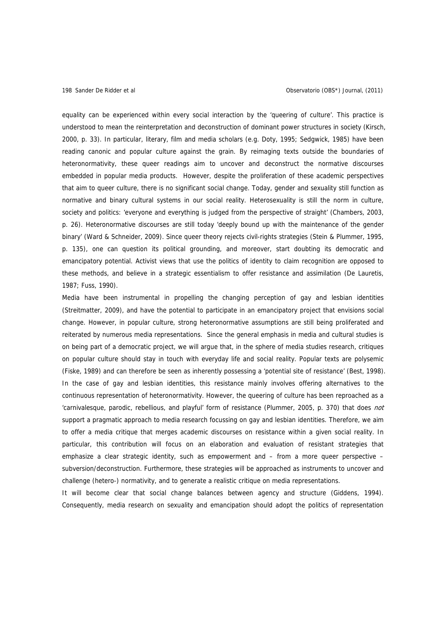equality can be experienced within every social interaction by the 'queering of culture'. This practice is understood to mean the reinterpretation and deconstruction of dominant power structures in society (Kirsch, 2000, p. 33). In particular, literary, film and media scholars (e.g. Doty, 1995; Sedgwick, 1985) have been reading canonic and popular culture against the grain. By reimaging texts outside the boundaries of heteronormativity, these queer readings aim to uncover and deconstruct the normative discourses embedded in popular media products. However, despite the proliferation of these academic perspectives that aim to queer culture, there is no significant social change. Today, gender and sexuality still function as normative and binary cultural systems in our social reality. Heterosexuality is still the norm in culture, society and politics: 'everyone and everything is judged from the perspective of straight' (Chambers, 2003, p. 26). Heteronormative discourses are still today 'deeply bound up with the maintenance of the gender binary' (Ward & Schneider, 2009). Since queer theory rejects civil-rights strategies (Stein & Plummer, 1995, p. 135), one can question its political grounding, and moreover, start doubting its democratic and emancipatory potential. Activist views that use the politics of identity to claim recognition are opposed to these methods, and believe in a strategic essentialism to offer resistance and assimilation (De Lauretis, 1987; Fuss, 1990).

Media have been instrumental in propelling the changing perception of gay and lesbian identities (Streitmatter, 2009), and have the potential to participate in an emancipatory project that envisions social change. However, in popular culture, strong heteronormative assumptions are still being proliferated and reiterated by numerous media representations. Since the general emphasis in media and cultural studies is on being part of a democratic project, we will argue that, in the sphere of media studies research, critiques on popular culture should stay in touch with everyday life and social reality. Popular texts are polysemic (Fiske, 1989) and can therefore be seen as inherently possessing a 'potential site of resistance' (Best, 1998). In the case of gay and lesbian identities, this resistance mainly involves offering alternatives to the continuous representation of heteronormativity. However, the queering of culture has been reproached as a 'carnivalesque, parodic, rebellious, and playful' form of resistance (Plummer, 2005, p. 370) that does not support a pragmatic approach to media research focussing on gay and lesbian identities. Therefore, we aim to offer a media critique that merges academic discourses on resistance within a given social reality. In particular, this contribution will focus on an elaboration and evaluation of resistant strategies that emphasize a clear strategic identity, such as empowerment and – from a more queer perspective – subversion/deconstruction. Furthermore, these strategies will be approached as instruments to uncover and challenge (hetero-) normativity, and to generate a realistic critique on media representations.

It will become clear that social change balances between agency and structure (Giddens, 1994). Consequently, media research on sexuality and emancipation should adopt the politics of representation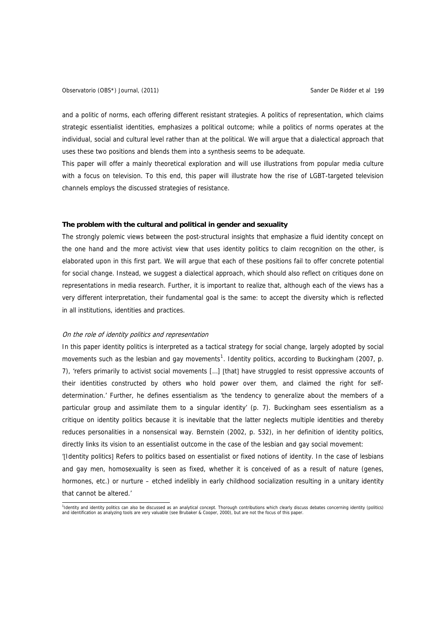and a politic of norms, each offering different resistant strategies. A politics of representation, which claims strategic essentialist identities, emphasizes a political outcome; while a politics of norms operates at the individual, social and cultural level rather than at the political. We will argue that a dialectical approach that uses these two positions and blends them into a synthesis seems to be adequate.

This paper will offer a mainly theoretical exploration and will use illustrations from popular media culture with a focus on television. To this end, this paper will illustrate how the rise of LGBT-targeted television channels employs the discussed strategies of resistance.

## **The problem with the cultural and political in gender and sexuality**

The strongly polemic views between the post-structural insights that emphasize a fluid identity concept on the one hand and the more activist view that uses identity politics to claim recognition on the other, is elaborated upon in this first part. We will argue that each of these positions fail to offer concrete potential for social change. Instead, we suggest a dialectical approach, which should also reflect on critiques done on representations in media research. Further, it is important to realize that, although each of the views has a very different interpretation, their fundamental goal is the same: to accept the diversity which is reflected in all institutions, identities and practices.

### On the role of identity politics and representation

In this paper identity politics is interpreted as a tactical strategy for social change, largely adopted by social movements such as the lesbian and gay movements<sup>[1](#page-2-0)</sup>. Identity politics, according to Buckingham (2007, p. 7), 'refers primarily to activist social movements […] [that] have struggled to resist oppressive accounts of their identities constructed by others who hold power over them, and claimed the right for selfdetermination.' Further, he defines essentialism as 'the tendency to generalize about the members of a particular group and assimilate them to a singular identity' (p. 7). Buckingham sees essentialism as a critique on identity politics because it is inevitable that the latter neglects multiple identities and thereby reduces personalities in a nonsensical way. Bernstein (2002, p. 532), in her definition of identity politics, directly links its vision to an essentialist outcome in the case of the lesbian and gay social movement:

'[Identity politics] Refers to politics based on essentialist or fixed notions of identity. In the case of lesbians and gay men, homosexuality is seen as fixed, whether it is conceived of as a result of nature (genes, hormones, etc.) or nurture – etched indelibly in early childhood socialization resulting in a unitary identity that cannot be altered.'

<span id="page-2-0"></span><sup>1&</sup>lt;br>1dentity and identity politics can also be discussed as an analytical concept. Thorough contributions which clearly discuss debates concerning identity (politics)<br>and identification as analyzing tools are very valuable (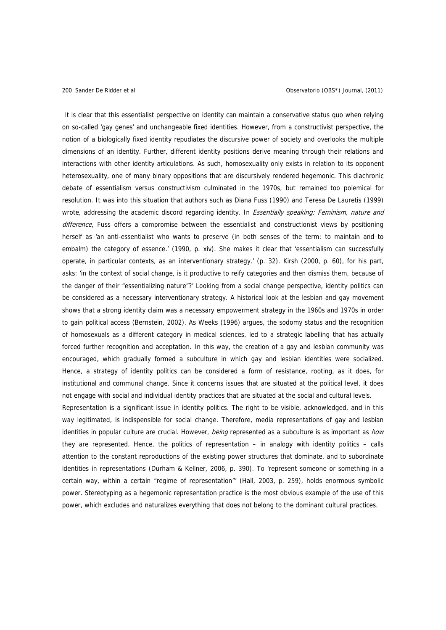It is clear that this essentialist perspective on identity can maintain a conservative status quo when relying on so-called 'gay genes' and unchangeable fixed identities. However, from a constructivist perspective, the notion of a biologically fixed identity repudiates the discursive power of society and overlooks the multiple dimensions of an identity. Further, different identity positions derive meaning through their relations and interactions with other identity articulations. As such, homosexuality only exists in relation to its opponent heterosexuality, one of many binary oppositions that are discursively rendered hegemonic. This diachronic debate of essentialism versus constructivism culminated in the 1970s, but remained too polemical for resolution. It was into this situation that authors such as Diana Fuss (1990) and Teresa De Lauretis (1999) wrote, addressing the academic discord regarding identity. In *Essentially speaking: Feminism, nature and* difference, Fuss offers a compromise between the essentialist and constructionist views by positioning herself as 'an anti-essentialist who wants to preserve (in both senses of the term: to maintain and to embalm) the category of essence.' (1990, p. xiv). She makes it clear that 'essentialism can successfully operate, in particular contexts, as an interventionary strategy.' (p. 32). Kirsh (2000, p. 60), for his part, asks: 'in the context of social change, is it productive to reify categories and then dismiss them, because of the danger of their "essentializing nature"?' Looking from a social change perspective, identity politics can be considered as a necessary interventionary strategy. A historical look at the lesbian and gay movement shows that a strong identity claim was a necessary empowerment strategy in the 1960s and 1970s in order to gain political access (Bernstein, 2002). As Weeks (1996) argues, the sodomy status and the recognition of homosexuals as a different category in medical sciences, led to a strategic labelling that has actually forced further recognition and acceptation. In this way, the creation of a gay and lesbian community was encouraged, which gradually formed a subculture in which gay and lesbian identities were socialized. Hence, a strategy of identity politics can be considered a form of resistance, rooting, as it does, for institutional and communal change. Since it concerns issues that are situated at the political level, it does not engage with social and individual identity practices that are situated at the social and cultural levels.

Representation is a significant issue in identity politics. The right to be visible, acknowledged, and in this way legitimated, is indispensible for social change. Therefore, media representations of gay and lesbian identities in popular culture are crucial. However, being represented as a subculture is as important as how they are represented. Hence, the politics of representation – in analogy with identity politics – calls attention to the constant reproductions of the existing power structures that dominate, and to subordinate identities in representations (Durham & Kellner, 2006, p. 390). To 'represent someone or something in a certain way, within a certain "regime of representation"' (Hall, 2003, p. 259), holds enormous symbolic power. Stereotyping as a hegemonic representation practice is the most obvious example of the use of this power, which excludes and naturalizes everything that does not belong to the dominant cultural practices.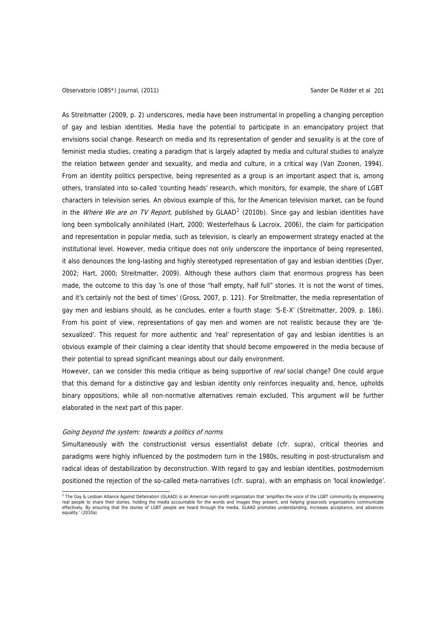As Streitmatter (2009, p. 2) underscores, media have been instrumental in propelling a changing perception of gay and lesbian identities. Media have the potential to participate in an emancipatory project that envisions social change. Research on media and its representation of gender and sexuality is at the core of feminist media studies, creating a paradigm that is largely adapted by media and cultural studies to analyze the relation between gender and sexuality, and media and culture, in a critical way (Van Zoonen, 1994). From an identity politics perspective, being represented as a group is an important aspect that is, among others, translated into so-called 'counting heads' research, which monitors, for example, the share of LGBT characters in television series. An obvious example of this, for the American television market, can be found in the *Where We are on TV Report*, published by GLAAD<sup>[2](#page-4-0)</sup> (2010b). Since gay and lesbian identities have long been symbolically annihilated (Hart, 2000; Westerfelhaus & Lacroix, 2006), the claim for participation and representation in popular media, such as television, is clearly an empowerment strategy enacted at the institutional level. However, media critique does not only underscore the importance of being represented, it also denounces the long-lasting and highly stereotyped representation of gay and lesbian identities (Dyer, 2002; Hart, 2000; Streitmatter, 2009). Although these authors claim that enormous progress has been made, the outcome to this day 'is one of those "half empty, half full" stories. It is not the worst of times, and it's certainly not the best of times' (Gross, 2007, p. 121). For Streitmatter, the media representation of gay men and lesbians should, as he concludes, enter a fourth stage: 'S-E-X' (Streitmatter, 2009, p. 186). From his point of view, representations of gay men and women are not realistic because they are 'desexualized'. This request for more authentic and 'real' representation of gay and lesbian identities is an obvious example of their claiming a clear identity that should become empowered in the media because of their potential to spread significant meanings about our daily environment.

However, can we consider this media critique as being supportive of real social change? One could argue that this demand for a distinctive gay and lesbian identity only reinforces inequality and, hence, upholds binary oppositions, while all non-normative alternatives remain excluded. This argument will be further elaborated in the next part of this paper.

#### Going beyond the system: towards a politics of norms

Simultaneously with the constructionist versus essentialist debate (cfr. supra), critical theories and paradigms were highly influenced by the postmodern turn in the 1980s, resulting in post-structuralism and radical ideas of destabilization by deconstruction. With regard to gay and lesbian identities, postmodernism positioned the rejection of the so-called meta-narratives (cfr. supra), with an emphasis on 'local knowledge'.

<span id="page-4-0"></span> 2 The Gay & Lesbian Alliance Against Defamation (GLAAD) is an American non-profit organization that 'amplifies the voice of the LGBT community by empowering real people to share their stories, holding the media accountable for the words and images they present, and helping grassroots organizations communicate<br>effectively. By ensuring that the stories of LGBT people are heard t equality.' (2010a).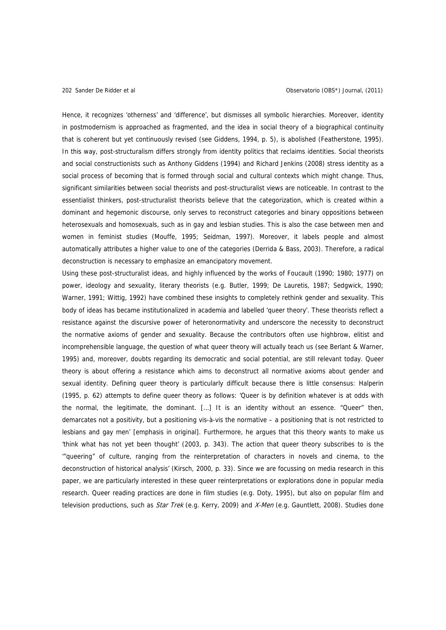Hence, it recognizes 'otherness' and 'difference', but dismisses all symbolic hierarchies. Moreover, identity in postmodernism is approached as fragmented, and the idea in social theory of a biographical continuity that is coherent but yet continuously revised (see Giddens, 1994, p. 5), is abolished (Featherstone, 1995). In this way, post-structuralism differs strongly from identity politics that reclaims identities. Social theorists and social constructionists such as Anthony Giddens (1994) and Richard Jenkins (2008) stress identity as a social process of becoming that is formed through social and cultural contexts which might change. Thus, significant similarities between social theorists and post-structuralist views are noticeable. In contrast to the essentialist thinkers, post-structuralist theorists believe that the categorization, which is created within a dominant and hegemonic discourse, only serves to reconstruct categories and binary oppositions between heterosexuals and homosexuals, such as in gay and lesbian studies. This is also the case between men and women in feminist studies (Mouffe, 1995; Seidman, 1997). Moreover, it labels people and almost automatically attributes a higher value to one of the categories (Derrida & Bass, 2003). Therefore, a radical deconstruction is necessary to emphasize an emancipatory movement.

Using these post-structuralist ideas, and highly influenced by the works of Foucault (1990; 1980; 1977) on power, ideology and sexuality, literary theorists (e.g. Butler, 1999; De Lauretis, 1987; Sedgwick, 1990; Warner, 1991; Wittig, 1992) have combined these insights to completely rethink gender and sexuality. This body of ideas has became institutionalized in academia and labelled 'queer theory'. These theorists reflect a resistance against the discursive power of heteronormativity and underscore the necessity to deconstruct the normative axioms of gender and sexuality. Because the contributors often use highbrow, elitist and incomprehensible language, the question of what queer theory will actually teach us (see Berlant & Warner, 1995) and, moreover, doubts regarding its democratic and social potential, are still relevant today. Queer theory is about offering a resistance which aims to deconstruct all normative axioms about gender and sexual identity. Defining queer theory is particularly difficult because there is little consensus: Halperin (1995, p. 62) attempts to define queer theory as follows: 'Queer is by definition whatever is at odds with the normal, the legitimate, the dominant. […] It is an identity without an essence. "Queer" then, demarcates not a positivity, but a positioning vis-à-vis the normative – a positioning that is not restricted to lesbians and gay men' [emphasis in original]. Furthermore, he argues that this theory wants to make us 'think what has not yet been thought' (2003, p. 343). The action that queer theory subscribes to is the '"queering" of culture, ranging from the reinterpretation of characters in novels and cinema, to the deconstruction of historical analysis' (Kirsch, 2000, p. 33). Since we are focussing on media research in this paper, we are particularly interested in these queer reinterpretations or explorations done in popular media research. Queer reading practices are done in film studies (e.g. Doty, 1995), but also on popular film and television productions, such as *Star Trek* (e.g. Kerry, 2009) and X-Men (e.g. Gauntlett, 2008). Studies done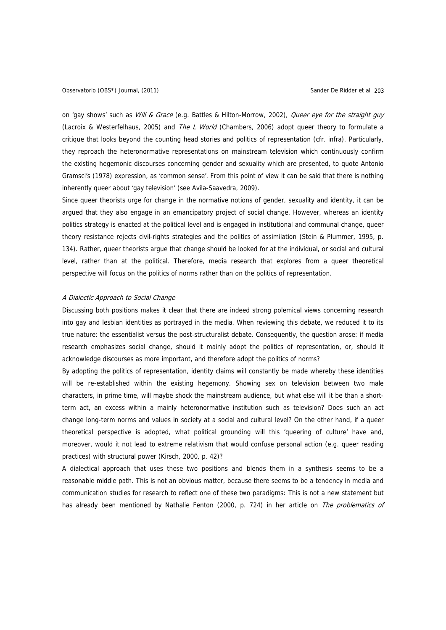on 'gay shows' such as Will & Grace (e.g. Battles & Hilton-Morrow, 2002), Queer eye for the straight guy (Lacroix & Westerfelhaus, 2005) and The L World (Chambers, 2006) adopt queer theory to formulate a critique that looks beyond the counting head stories and politics of representation (cfr. infra). Particularly, they reproach the heteronormative representations on mainstream television which continuously confirm the existing hegemonic discourses concerning gender and sexuality which are presented, to quote Antonio Gramsci's (1978) expression, as 'common sense'. From this point of view it can be said that there is nothing inherently queer about 'gay television' (see Avila-Saavedra, 2009).

Since queer theorists urge for change in the normative notions of gender, sexuality and identity, it can be argued that they also engage in an emancipatory project of social change. However, whereas an identity politics strategy is enacted at the political level and is engaged in institutional and communal change, queer theory resistance rejects civil-rights strategies and the politics of assimilation (Stein & Plummer, 1995, p. 134). Rather, queer theorists argue that change should be looked for at the individual, or social and cultural level, rather than at the political. Therefore, media research that explores from a queer theoretical perspective will focus on the politics of norms rather than on the politics of representation.

#### A Dialectic Approach to Social Change

Discussing both positions makes it clear that there are indeed strong polemical views concerning research into gay and lesbian identities as portrayed in the media. When reviewing this debate, we reduced it to its true nature: the essentialist versus the post-structuralist debate. Consequently, the question arose: if media research emphasizes social change, should it mainly adopt the politics of representation, or, should it acknowledge discourses as more important, and therefore adopt the politics of norms?

By adopting the politics of representation, identity claims will constantly be made whereby these identities will be re-established within the existing hegemony. Showing sex on television between two male characters, in prime time, will maybe shock the mainstream audience, but what else will it be than a shortterm act, an excess within a mainly heteronormative institution such as television? Does such an act change long-term norms and values in society at a social and cultural level? On the other hand, if a queer theoretical perspective is adopted, what political grounding will this 'queering of culture' have and, moreover, would it not lead to extreme relativism that would confuse personal action (e.g. queer reading practices) with structural power (Kirsch, 2000, p. 42)?

A dialectical approach that uses these two positions and blends them in a synthesis seems to be a reasonable middle path. This is not an obvious matter, because there seems to be a tendency in media and communication studies for research to reflect one of these two paradigms: This is not a new statement but has already been mentioned by Nathalie Fenton (2000, p. 724) in her article on The problematics of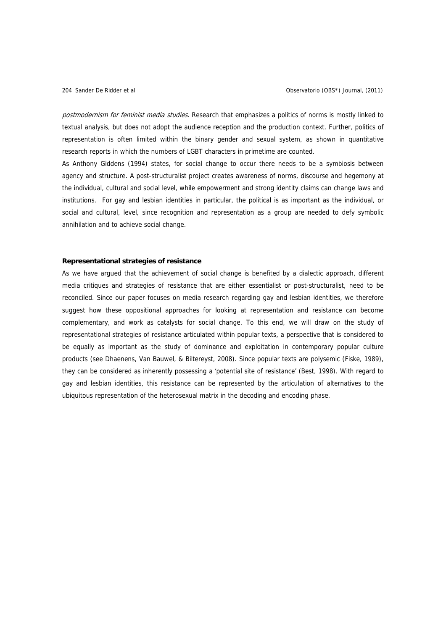postmodernism for feminist media studies. Research that emphasizes a politics of norms is mostly linked to textual analysis, but does not adopt the audience reception and the production context. Further, politics of representation is often limited within the binary gender and sexual system, as shown in quantitative research reports in which the numbers of LGBT characters in primetime are counted.

As Anthony Giddens (1994) states, for social change to occur there needs to be a symbiosis between agency and structure. A post-structuralist project creates awareness of norms, discourse and hegemony at the individual, cultural and social level, while empowerment and strong identity claims can change laws and institutions. For gay and lesbian identities in particular, the political is as important as the individual, or social and cultural, level, since recognition and representation as a group are needed to defy symbolic annihilation and to achieve social change.

#### **Representational strategies of resistance**

As we have argued that the achievement of social change is benefited by a dialectic approach, different media critiques and strategies of resistance that are either essentialist or post-structuralist, need to be reconciled. Since our paper focuses on media research regarding gay and lesbian identities, we therefore suggest how these oppositional approaches for looking at representation and resistance can become complementary, and work as catalysts for social change. To this end, we will draw on the study of representational strategies of resistance articulated within popular texts, a perspective that is considered to be equally as important as the study of dominance and exploitation in contemporary popular culture products (see Dhaenens, Van Bauwel, & Biltereyst, 2008). Since popular texts are polysemic (Fiske, 1989), they can be considered as inherently possessing a 'potential site of resistance' (Best, 1998). With regard to gay and lesbian identities, this resistance can be represented by the articulation of alternatives to the ubiquitous representation of the heterosexual matrix in the decoding and encoding phase.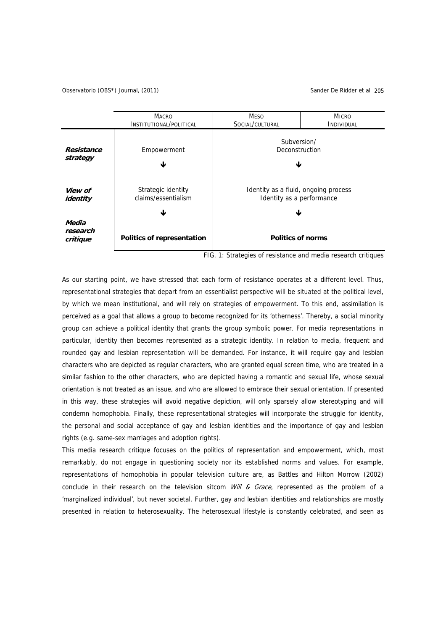Observatorio (OBS\*) Journal, (2011) Sander De Ridder et al 205



FIG. 1: Strategies of resistance and media research critiques

As our starting point, we have stressed that each form of resistance operates at a different level. Thus, representational strategies that depart from an essentialist perspective will be situated at the political level, by which we mean institutional, and will rely on strategies of empowerment. To this end, assimilation is perceived as a goal that allows a group to become recognized for its 'otherness'. Thereby, a social minority group can achieve a political identity that grants the group symbolic power. For media representations in particular, identity then becomes represented as a strategic identity. In relation to media, frequent and rounded gay and lesbian representation will be demanded. For instance, it will require gay and lesbian characters who are depicted as regular characters, who are granted equal screen time, who are treated in a similar fashion to the other characters, who are depicted having a romantic and sexual life, whose sexual orientation is not treated as an issue, and who are allowed to embrace their sexual orientation. If presented in this way, these strategies will avoid negative depiction, will only sparsely allow stereotyping and will condemn homophobia. Finally, these representational strategies will incorporate the struggle for identity, the personal and social acceptance of gay and lesbian identities and the importance of gay and lesbian rights (e.g. same-sex marriages and adoption rights).

This media research critique focuses on the politics of representation and empowerment, which, most remarkably, do not engage in questioning society nor its established norms and values. For example, representations of homophobia in popular television culture are, as Battles and Hilton Morrow (2002) conclude in their research on the television sitcom  $Will & Grace$ , represented as the problem of a 'marginalized individual', but never societal. Further, gay and lesbian identities and relationships are mostly presented in relation to heterosexuality. The heterosexual lifestyle is constantly celebrated, and seen as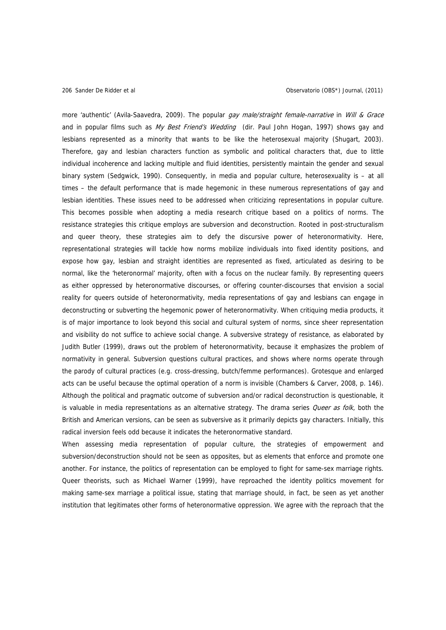more 'authentic' (Avila-Saavedra, 2009). The popular *gay male/straight female-narrative* in Will & Grace and in popular films such as My Best Friend's Wedding [\(dir. Paul John Hogan,](http://www.imdb.com/name/nm0389591/bio) 1997) shows gay and lesbians represented as a minority that wants to be like the heterosexual majority (Shugart, 2003). Therefore, gay and lesbian characters function as symbolic and political characters that, due to little individual incoherence and lacking multiple and fluid identities, persistently maintain the gender and sexual binary system (Sedgwick, 1990). Consequently, in media and popular culture, heterosexuality is – at all times – the default performance that is made hegemonic in these numerous representations of gay and lesbian identities. These issues need to be addressed when criticizing representations in popular culture. This becomes possible when adopting a media research critique based on a politics of norms. The resistance strategies this critique employs are subversion and deconstruction. Rooted in post-structuralism and queer theory, these strategies aim to defy the discursive power of heteronormativity. Here, representational strategies will tackle how norms mobilize individuals into fixed identity positions, and expose how gay, lesbian and straight identities are represented as fixed, articulated as desiring to be normal, like the 'heteronormal' majority, often with a focus on the nuclear family. By representing queers as either oppressed by heteronormative discourses, or offering counter-discourses that envision a social reality for queers outside of heteronormativity, media representations of gay and lesbians can engage in deconstructing or subverting the hegemonic power of heteronormativity. When critiquing media products, it is of major importance to look beyond this social and cultural system of norms, since sheer representation and visibility do not suffice to achieve social change. A subversive strategy of resistance, as elaborated by Judith Butler (1999), draws out the problem of heteronormativity, because it emphasizes the problem of normativity in general. Subversion questions cultural practices, and shows where norms operate through the parody of cultural practices (e.g. cross-dressing, butch/femme performances). Grotesque and enlarged acts can be useful because the optimal operation of a norm is invisible (Chambers & Carver, 2008, p. 146). Although the political and pragmatic outcome of subversion and/or radical deconstruction is questionable, it is valuable in media representations as an alternative strategy. The drama series *Queer as folk*, both the British and American versions, can be seen as subversive as it primarily depicts gay characters. Initially, this radical inversion feels odd because it indicates the heteronormative standard.

When assessing media representation of popular culture, the strategies of empowerment and subversion/deconstruction should not be seen as opposites, but as elements that enforce and promote one another. For instance, the politics of representation can be employed to fight for same-sex marriage rights. Queer theorists, such as Michael Warner (1999), have reproached the identity politics movement for making same-sex marriage a political issue, stating that marriage should, in fact, be seen as yet another institution that legitimates other forms of heteronormative oppression. We agree with the reproach that the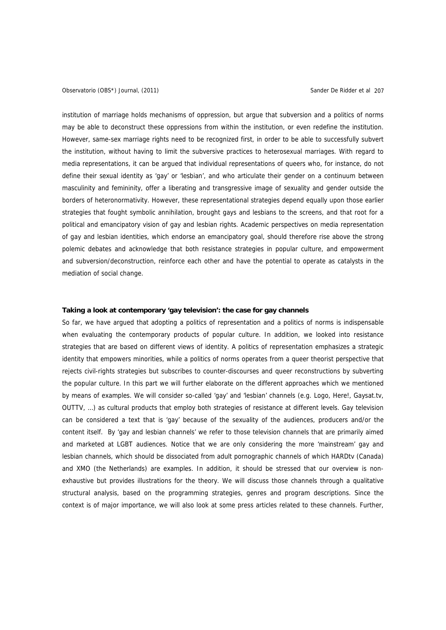institution of marriage holds mechanisms of oppression, but argue that subversion and a politics of norms may be able to deconstruct these oppressions from within the institution, or even redefine the institution. However, same-sex marriage rights need to be recognized first, in order to be able to successfully subvert the institution, without having to limit the subversive practices to heterosexual marriages. With regard to media representations, it can be argued that individual representations of queers who, for instance, do not define their sexual identity as 'gay' or 'lesbian', and who articulate their gender on a continuum between masculinity and femininity, offer a liberating and transgressive image of sexuality and gender outside the borders of heteronormativity. However, these representational strategies depend equally upon those earlier strategies that fought symbolic annihilation, brought gays and lesbians to the screens, and that root for a political and emancipatory vision of gay and lesbian rights. Academic perspectives on media representation of gay and lesbian identities, which endorse an emancipatory goal, should therefore rise above the strong polemic debates and acknowledge that both resistance strategies in popular culture, and empowerment and subversion/deconstruction, reinforce each other and have the potential to operate as catalysts in the mediation of social change.

### **Taking a look at contemporary 'gay television': the case for gay channels**

So far, we have argued that adopting a politics of representation and a politics of norms is indispensable when evaluating the contemporary products of popular culture. In addition, we looked into resistance strategies that are based on different views of identity. A politics of representation emphasizes a strategic identity that empowers minorities, while a politics of norms operates from a queer theorist perspective that rejects civil-rights strategies but subscribes to counter-discourses and queer reconstructions by subverting the popular culture. In this part we will further elaborate on the different approaches which we mentioned by means of examples. We will consider so-called 'gay' and 'lesbian' channels (e.g. Logo, Here!, Gaysat.tv, OUTTV, …) as cultural products that employ both strategies of resistance at different levels. Gay television can be considered a text that is 'gay' because of the sexuality of the audiences, producers and/or the content itself. By 'gay and lesbian channels' we refer to those television channels that are primarily aimed and marketed at LGBT audiences. Notice that we are only considering the more 'mainstream' gay and lesbian channels, which should be dissociated from adult pornographic channels of which HARDtv (Canada) and XMO (the Netherlands) are examples. In addition, it should be stressed that our overview is nonexhaustive but provides illustrations for the theory. We will discuss those channels through a qualitative structural analysis, based on the programming strategies, genres and program descriptions. Since the context is of major importance, we will also look at some press articles related to these channels. Further,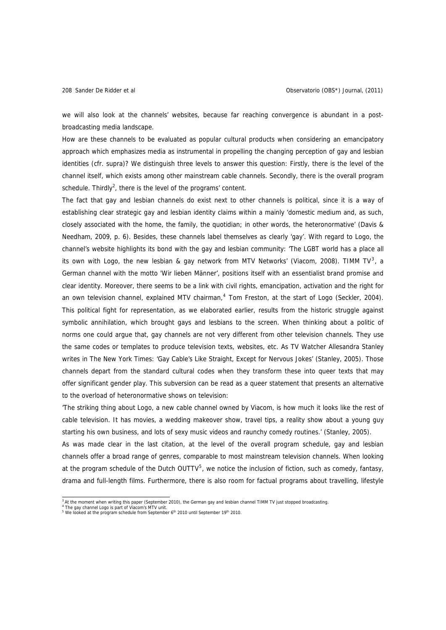we will also look at the channels' websites, because far reaching convergence is abundant in a postbroadcasting media landscape.

How are these channels to be evaluated as popular cultural products when considering an emancipatory approach which emphasizes media as instrumental in propelling the changing perception of gay and lesbian identities (cfr. supra)? We distinguish three levels to answer this question: Firstly, there is the level of the channel itself, which exists among other mainstream cable channels. Secondly, there is the overall program schedule. Thirdly<sup>2</sup>, there is the level of the programs' content.

The fact that gay and lesbian channels do exist next to other channels is political, since it is a way of establishing clear strategic gay and lesbian identity claims within a mainly 'domestic medium and, as such, closely associated with the home, the family, the quotidian; in other words, the heteronormative' (Davis & Needham, 2009, p. 6). Besides, these channels label themselves as clearly 'gay'. With regard to Logo, the channel's website highlights its bond with the gay and lesbian community: 'The LGBT world has a place all its own with Logo, the new lesbian & gay network from MTV Networks' (Viacom, 2008). TIMM TV<sup>[3](#page-11-0)</sup>, a German channel with the motto 'Wir lieben Männer', positions itself with an essentialist brand promise and clear identity. Moreover, there seems to be a link with civil rights, emancipation, activation and the right for an own television channel, explained MTV chairman,<sup>[4](#page-11-1)</sup> Tom Freston, at the start of Logo (Seckler, 2004). This political fight for representation, as we elaborated earlier, results from the historic struggle against symbolic annihilation, which brought gays and lesbians to the screen. When thinking about a politic of norms one could argue that, gay channels are not very different from other television channels. They use the same codes or templates to produce television texts, websites, etc. As TV Watcher Allesandra Stanley writes in The New York Times: 'Gay Cable's Like Straight, Except for Nervous Jokes' (Stanley, 2005). Those channels depart from the standard cultural codes when they transform these into queer texts that may offer significant gender play. This subversion can be read as a queer statement that presents an alternative to the overload of heteronormative shows on television:

'The striking thing about Logo, a new cable channel owned by Viacom, is how much it looks like the rest of cable television. It has movies, a wedding makeover show, travel tips, a reality show about a young guy starting his own business, and lots of sexy music videos and raunchy comedy routines.' (Stanley, 2005).

As was made clear in the last citation, at the level of the overall program schedule, gay and lesbian channels offer a broad range of genres, comparable to most mainstream television channels. When looking at the program schedule of the Dutch OUTTV<sup>[5](#page-11-2)</sup>, we notice the inclusion of fiction, such as comedy, fantasy, drama and full-length films. Furthermore, there is also room for factual programs about travelling, lifestyle

<sup>&</sup>lt;sup>3</sup> At the moment when writing this paper (September 2010), the German gay and lesbian channel TIMM TV just stopped broadcasting.<br><sup>4</sup> The gay channel Logo is part of Viacom's MTV unit.<br><sup>5</sup> We looked at the program schedule

<span id="page-11-2"></span><span id="page-11-1"></span><span id="page-11-0"></span>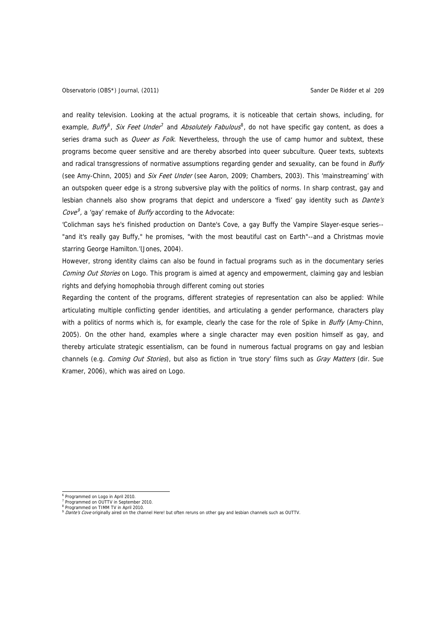and reality television. Looking at the actual programs, it is noticeable that certain shows, including, for example, *Buffy<sup>[6](#page-12-0)</sup>, Six Feet Under<sup>[7](#page-12-1)</sup>* and *Absolutely Fabulous*<sup>[8](#page-12-2)</sup>, do not have specific gay content, as does a series drama such as *Queer as Folk*. Nevertheless, through the use of camp humor and subtext, these programs become queer sensitive and are thereby absorbed into queer subculture. Queer texts, subtexts and radical transgressions of normative assumptions regarding gender and sexuality, can be found in Buffy (see Amy-Chinn, 2005) and Six Feet Under (see Aaron, 2009; Chambers, 2003). This 'mainstreaming' with an outspoken queer edge is a strong subversive play with the politics of norms. In sharp contrast, gay and lesbian channels also show programs that depict and underscore a 'fixed' gay identity such as *Dante's* Cove<sup>[9](#page-12-3)</sup>, a 'gay' remake of *Buffy* according to the Advocate:

'Colichman says he's finished production on Dante's Cove, a gay Buffy the Vampire Slayer-esque series-- "and it's really gay Buffy," he promises, "with the most beautiful cast on Earth"--and a Christmas movie starring George Hamilton.'(Jones, 2004).

However, strong identity claims can also be found in factual programs such as in the documentary series Coming Out Stories on Logo. This program is aimed at agency and empowerment, claiming gay and lesbian rights and defying homophobia through different coming out stories

Regarding the content of the programs, different strategies of representation can also be applied: While articulating multiple conflicting gender identities, and articulating a gender performance, characters play with a politics of norms which is, for example, clearly the case for the role of Spike in Buffy (Amy-Chinn, 2005). On the other hand, examples where a single character may even position himself as gay, and thereby articulate strategic essentialism, can be found in numerous factual programs on gay and lesbian channels (e.g. *Coming Out Stories*), but also as fiction in 'true story' films such as *Gray Matters* (dir. Sue Kramer, 2006), which was aired on Logo.

1

<sup>6</sup> Programmed on Logo in April 2010.

<span id="page-12-2"></span><span id="page-12-1"></span><span id="page-12-0"></span><sup>7</sup> Programmed on OUTTV in September 2010. <sup>8</sup> Programmed on TIMM TV in April 2010.

<span id="page-12-3"></span> $\frac{9}{9}$  Dante's Cove originally aired on the channel Here! but often reruns on other gay and lesbian channels such as OUTTV.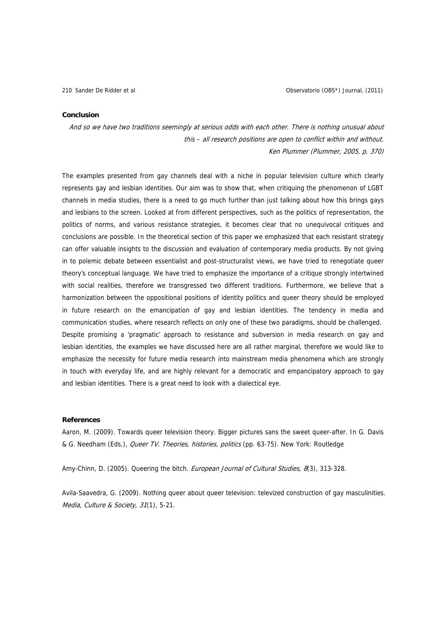#### **Conclusion**

And so we have two traditions seemingly at serious odds with each other. There is nothing unusual about this – all research positions are open to conflict within and without. Ken Plummer (Plummer, 2005, p. 370)

The examples presented from gay channels deal with a niche in popular television culture which clearly represents gay and lesbian identities. Our aim was to show that, when critiquing the phenomenon of LGBT channels in media studies, there is a need to go much further than just talking about how this brings gays and lesbians to the screen. Looked at from different perspectives, such as the politics of representation, the politics of norms, and various resistance strategies, it becomes clear that no unequivocal critiques and conclusions are possible. In the theoretical section of this paper we emphasized that each resistant strategy can offer valuable insights to the discussion and evaluation of contemporary media products. By not giving in to polemic debate between essentialist and post-structuralist views, we have tried to renegotiate queer theory's conceptual language. We have tried to emphasize the importance of a critique strongly intertwined with social realities, therefore we transgressed two different traditions. Furthermore, we believe that a harmonization between the oppositional positions of identity politics and queer theory should be employed in future research on the emancipation of gay and lesbian identities. The tendency in media and communication studies, where research reflects on only one of these two paradigms, should be challenged. Despite promising a 'pragmatic' approach to resistance and subversion in media research on gay and lesbian identities, the examples we have discussed here are all rather marginal, therefore we would like to emphasize the necessity for future media research into mainstream media phenomena which are strongly in touch with everyday life, and are highly relevant for a democratic and empancipatory approach to gay and lesbian identities. There is a great need to look with a dialectical eye.

### **References**

Aaron, M. (2009). Towards queer television theory. Bigger pictures sans the sweet queer-after. In G. Davis & G. Needham (Eds.), Queer TV. Theories, histories, politics (pp. 63-75). New York: Routledge

Amy-Chinn, D. (2005). Queering the bitch. European Journal of Cultural Studies, 8(3), 313-328.

Avila-Saavedra, G. (2009). Nothing queer about queer television: televized construction of gay masculinities. Media, Culture & Society, 31(1), 5-21.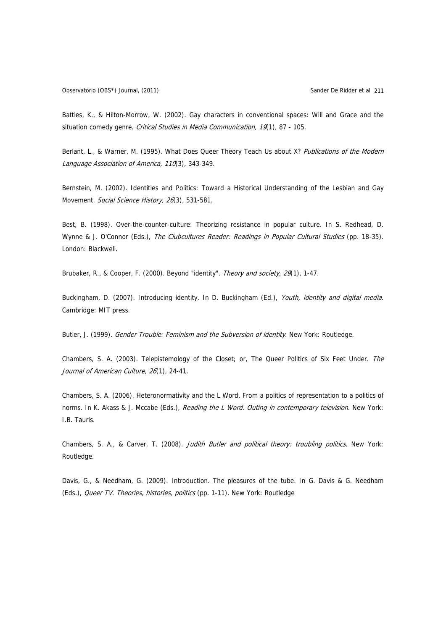Battles, K., & Hilton-Morrow, W. (2002). Gay characters in conventional spaces: Will and Grace and the situation comedy genre. Critical Studies in Media Communication, 19(1), 87 - 105.

Berlant, L., & Warner, M. (1995). What Does Queer Theory Teach Us about X? Publications of the Modern Language Association of America, 110(3), 343-349.

Bernstein, M. (2002). Identities and Politics: Toward a Historical Understanding of the Lesbian and Gay Movement. Social Science History, 26(3), 531-581.

Best, B. (1998). Over-the-counter-culture: Theorizing resistance in popular culture. In S. Redhead, D. Wynne & J. O'Connor (Eds.), The Clubcultures Reader: Readings in Popular Cultural Studies (pp. 18-35). London: Blackwell.

Brubaker, R., & Cooper, F. (2000). Beyond "identity". Theory and society, 29(1), 1-47.

Buckingham, D. (2007). Introducing identity. In D. Buckingham (Ed.), Youth, identity and digital media. Cambridge: MIT press.

Butler, J. (1999). Gender Trouble: Feminism and the Subversion of identity. New York: Routledge.

Chambers, S. A. (2003). Telepistemology of the Closet; or, The Queer Politics of Six Feet Under. The Journal of American Culture, 26(1), 24-41.

Chambers, S. A. (2006). Heteronormativity and the L Word. From a politics of representation to a politics of norms. In K. Akass & J. Mccabe (Eds.), Reading the L Word. Outing in contemporary television. New York: I.B. Tauris.

Chambers, S. A., & Carver, T. (2008). Judith Butler and political theory: troubling politics. New York: Routledge.

Davis, G., & Needham, G. (2009). Introduction. The pleasures of the tube. In G. Davis & G. Needham (Eds.), Queer TV. Theories, histories, politics (pp. 1-11). New York: Routledge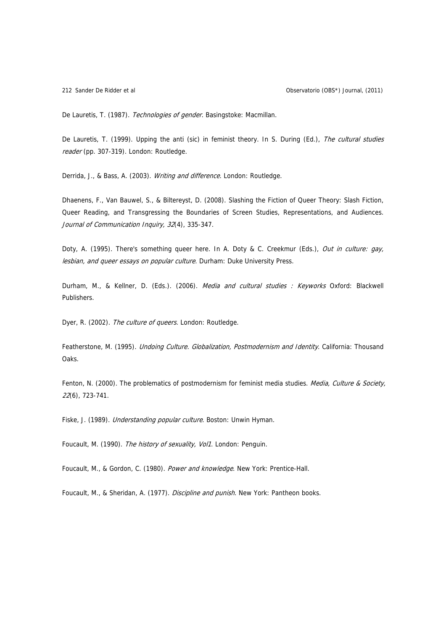De Lauretis, T. (1987). Technologies of gender. Basingstoke: Macmillan.

De Lauretis, T. (1999). Upping the anti (sic) in feminist theory. In S. During (Ed.), The cultural studies reader (pp. 307-319). London: Routledge.

Derrida, J., & Bass, A. (2003). Writing and difference. London: Routledge.

Dhaenens, F., Van Bauwel, S., & Biltereyst, D. (2008). Slashing the Fiction of Queer Theory: Slash Fiction, Queer Reading, and Transgressing the Boundaries of Screen Studies, Representations, and Audiences. Journal of Communication Inquiry, 32(4), 335-347.

Doty, A. (1995). There's something queer here. In A. Doty & C. Creekmur (Eds.), Out in culture: gay, lesbian, and queer essays on popular culture. Durham: Duke University Press.

Durham, M., & Kellner, D. (Eds.). (2006). Media and cultural studies : Keyworks Oxford: Blackwell Publishers.

Dyer, R. (2002). The culture of queers. London: Routledge.

Featherstone, M. (1995). Undoing Culture. Globalization, Postmodernism and Identity. California: Thousand Oaks.

Fenton, N. (2000). The problematics of postmodernism for feminist media studies. Media, Culture & Society, 22(6), 723-741.

Fiske, J. (1989). Understanding popular culture. Boston: Unwin Hyman.

Foucault, M. (1990). The history of sexuality, Vol1. London: Penguin.

Foucault, M., & Gordon, C. (1980). Power and knowledge. New York: Prentice-Hall.

Foucault, M., & Sheridan, A. (1977). *Discipline and punish*. New York: Pantheon books.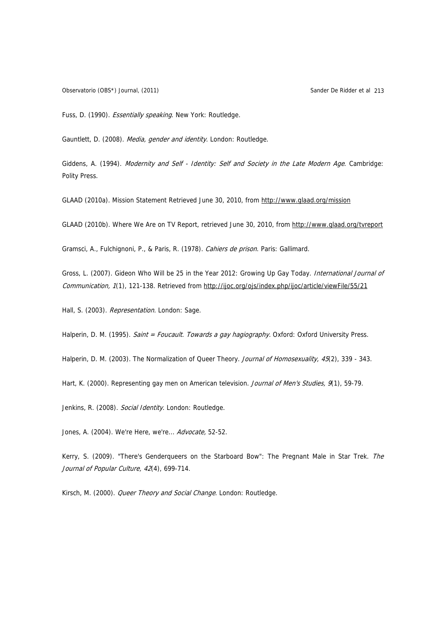Observatorio (OBS\*) Journal, (2011) Sander De Ridder et al 213

Fuss, D. (1990). Essentially speaking. New York: Routledge.

Gauntlett, D. (2008). Media, gender and identity. London: Routledge.

Giddens, A. (1994). Modernity and Self - Identity: Self and Society in the Late Modern Age. Cambridge: Polity Press.

GLAAD (2010a). Mission Statement Retrieved June 30, 2010, from<http://www.glaad.org/mission>

GLAAD (2010b). Where We Are on TV Report, retrieved June 30, 2010, from<http://www.glaad.org/tvreport>

Gramsci, A., Fulchignoni, P., & Paris, R. (1978). Cahiers de prison. Paris: Gallimard.

Gross, L. (2007). Gideon Who Will be 25 in the Year 2012: Growing Up Gay Today. International Journal of Communication, 1(1), 121-138. Retrieved from http://ijoc.org/ojs/index.php/ijoc/article/viewFile/55/21

Hall, S. (2003). Representation. London: Sage.

Halperin, D. M. (1995). Saint = Foucault. Towards a gay hagiography. Oxford: Oxford University Press.

Halperin, D. M. (2003). The Normalization of Queer Theory. Journal of Homosexuality, 45(2), 339 - 343.

Hart, K. (2000). Representing gay men on American television. Journal of Men's Studies, 9(1), 59-79.

Jenkins, R. (2008). Social Identity. London: Routledge.

Jones, A. (2004). We're Here, we're... Advocate, 52-52.

Kerry, S. (2009). "There's Genderqueers on the Starboard Bow": The Pregnant Male in Star Trek. The Journal of Popular Culture, 42(4), 699-714.

Kirsch, M. (2000). Queer Theory and Social Change. London: Routledge.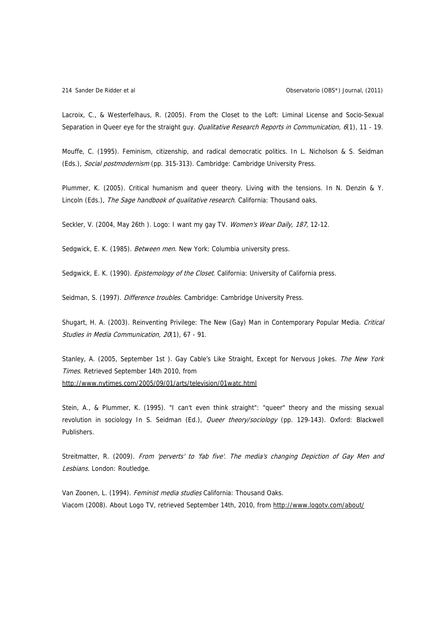Lacroix, C., & Westerfelhaus, R. (2005). From the Closet to the Loft: Liminal License and Socio-Sexual Separation in Queer eye for the straight guy. *Qualitative Research Reports in Communication*, 6(1), 11 - 19.

Mouffe, C. (1995). Feminism, citizenship, and radical democratic politics. In L. Nicholson & S. Seidman (Eds.), Social postmodernism (pp. 315-313). Cambridge: Cambridge University Press.

Plummer, K. (2005). Critical humanism and queer theory. Living with the tensions. In N. Denzin & Y. Lincoln (Eds.), The Sage handbook of qualitative research. California: Thousand oaks.

Seckler, V. (2004, May 26th ). Logo: I want my gay TV. Women's Wear Daily, 187, 12-12.

Sedgwick, E. K. (1985). Between men. New York: Columbia university press.

Sedgwick, E. K. (1990). Epistemology of the Closet. California: University of California press.

Seidman, S. (1997). Difference troubles. Cambridge: Cambridge University Press.

Shugart, H. A. (2003). Reinventing Privilege: The New (Gay) Man in Contemporary Popular Media. Critical Studies in Media Communication, 20(1), 67 - 91.

Stanley, A. (2005, September 1st ). Gay Cable's Like Straight, Except for Nervous Jokes. The New York Times. Retrieved September 14th 2010, from <http://www.nytimes.com/2005/09/01/arts/television/01watc.html>

Stein, A., & Plummer, K. (1995). "I can't even think straight": "queer" theory and the missing sexual revolution in sociology In S. Seidman (Ed.), Queer theory/sociology (pp. 129-143). Oxford: Blackwell Publishers.

Streitmatter, R. (2009). From 'perverts' to 'fab five'. The media's changing Depiction of Gay Men and Lesbians. London: Routledge.

Van Zoonen, L. (1994). Feminist media studies California: Thousand Oaks. Viacom (2008). About Logo TV, retrieved September 14th, 2010, from <http://www.logotv.com/about/>